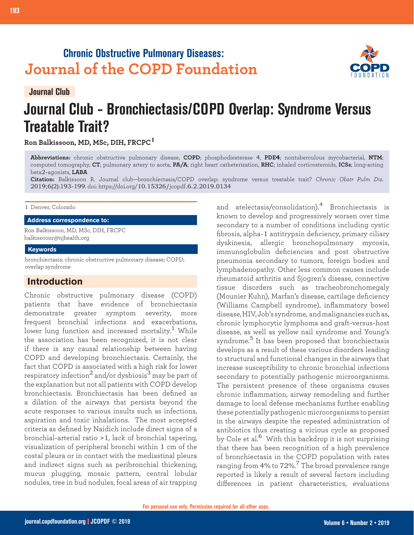## **Chronic Obstructive Pulmonary Diseases: Journal of the COPD Foundation**



**Journal Club**

# **Journal Club - Bronchiectasis/COPD Overlap: Syndrome Versus Treatable Trait?**

**Ron Balkissoon, MD, MSc, DIH, FRCPC<sup>1</sup>**

**Abbreviations:** chronic obstructive pulmonary disease, **COPD**; phosphodiesterase 4, **PDE4**; nontuberculous mycobacterial, **NTM**; computed tomography, **CT**; pulmonary artery to aorta, **PA/A**; right heart catheterization, **RHC**; inhaled corticosteroids, **ICSs**; long-acting beta2-agonists, **LABA**

**Citation:** Balkissoon R. Journal club—bronchiectasis/COPD overlap: syndrome versus treatable trait? *Chronic Obstr Pulm Dis*. 2019;6(2):193-199. doi: https://doi.org/10.15326/jcopdf.6.2.2019.0134

#### 1 Denver, Colorado

**Address correspondence to:**

Ron Balkissoon, MD, MSc, DIH, FRCPC balkissoonr@njhealth.org

#### **Keywords**

bronchiectasis; chronic obstructive pulmonary disease; COPD; overlap syndrome

## **Introduction**

Chronic obstructive pulmonary disease (COPD) patients that have evidence of bronchiectasis demonstrate greater symptom severity, more frequent bronchial infections and exacerbations, lower lung function and increased mortality.<sup>1</sup> While the association has been recognized, it is not clear if there is any causal relationship between having COPD and developing bronchiectasis. Certainly, the fact that COPD is associated with a high risk for lower respiratory infection<sup>2</sup> and/or dysbiosis<sup>3</sup> may be part of the explanation but not all patients with COPD develop bronchiectasis. Bronchiectasis has been defined as a dilation of the airways that persists beyond the acute responses to various insults such as infections, aspiration and toxic inhalations. The most accepted criteria as defined by Naidich include direct signs of a bronchial-arterial ratio >1, lack of bronchial tapering, visualization of peripheral bronchi within 1 cm of the costal pleura or in contact with the mediastinal pleura and indirect signs such as peribronchial thickening, mucus plugging, mosaic pattern, central lobular nodules, tree in bud nodules, focal areas of air trapping

and atelectasis/consolidation).4 Bronchiectasis is known to develop and progressively worsen over time secondary to a number of conditions including cystic fibrosis, alpha-1 antitrypsin deficiency, primary ciliary dyskinesia, allergic bronchopulmonary mycosis, immunoglobulin deficiencies and post obstructive pneumonia secondary to tumors, foreign bodies and lymphadenopathy. Other less common causes include rheumatoid arthritis and Sjogren's disease, connective tissue disorders such as tracheobronchomegaly (Mounier Kuhn), Marfan's disease, cartilage deficiency (Williams Campbell syndrome), inflammatory bowel disease, HIV, Job's syndrome, and malignancies such as, chronic lymphocytic lymphoma and graft-versus-host disease, as well as yellow nail syndrome and Young's syndrome.<sup>5</sup> It has been proposed that bronchiectasis develops as a result of these various disorders leading to structural and functional changes in the airways that increase susceptibility to chronic bronchial infections secondary to potentially pathogenic microorganisms. The persistent presence of these organisms causes chronic inflammation, airway remodeling and further damage to local defense mechanisms further enabling these potentially pathogenic microorganisms to persist in the airways despite the repeated administration of antibiotics thus creating a vicious cycle as proposed by Cole et al.<sup>6</sup> With this backdrop it is not surprising that there has been recognition of a high prevalence of bronchiectasis in the COPD population with rates ranging from 4% to 72%. <sup>7</sup> The broad prevalence range reported is likely a result of several factors including differences in patient characteristics, evaluations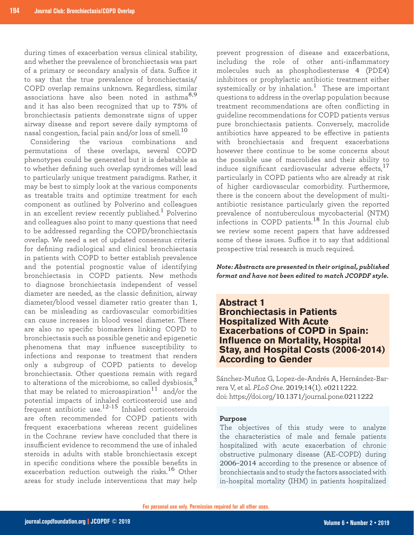during times of exacerbation versus clinical stability, and whether the prevalence of bronchiectasis was part of a primary or secondary analysis of data. Suffice it to say that the true prevalence of bronchiectasis/ COPD overlap remains unknown. Regardless, similar associations have also been noted in asthma<sup>8,9</sup> and it has also been recognized that up to 75% of bronchiectasis patients demonstrate signs of upper airway disease and report severe daily symptoms of nasal congestion, facial pain and/or loss of smell. $^{10}$ 

Considering the various combinations and permutations of these overlaps, several COPD phenotypes could be generated but it is debatable as to whether defining such overlap syndromes will lead to particularly unique treatment paradigms. Rather, it may be best to simply look at the various components as treatable traits and optimize treatment for each component as outlined by Polverino and colleagues in an excellent review recently published.<sup>1</sup> Polverino and colleagues also point to many questions that need to be addressed regarding the COPD/bronchiectasis overlap. We need a set of updated consensus criteria for defining radiological and clinical bronchiectasis in patients with COPD to better establish prevalence and the potential prognostic value of identifying bronchiectasis in COPD patients. New methods to diagnose bronchiectasis independent of vessel diameter are needed, as the classic definition, airway diameter/blood vessel diameter ratio greater than 1, can be misleading as cardiovascular comorbidities can cause increases in blood vessel diameter. There are also no specific biomarkers linking COPD to bronchiectasis such as possible genetic and epigenetic phenomena that may influence susceptibility to infections and response to treatment that renders only a subgroup of COPD patients to develop bronchiectasis. Other questions remain with regard to alterations of the microbiome, so called dysbiosis,<sup>3</sup> that may be related to microaspiration<sup>11</sup> and/or the potential impacts of inhaled corticosteroid use and frequent antibiotic use.<sup>12-15</sup> Inhaled corticosteroids are often recommended for COPD patients with frequent exacerbations whereas recent guidelines in the Cochrane review have concluded that there is insufficient evidence to recommend the use of inhaled steroids in adults with stable bronchiectasis except in specific conditions where the possible benefits in exacerbation reduction outweigh the risks.<sup>16</sup> Other areas for study include interventions that may help

prevent progression of disease and exacerbations, including the role of other anti-inflammatory molecules such as phosphodiesterase 4 (PDE4) inhibitors or prophylactic antibiotic treatment either systemically or by inhalation.<sup>1</sup> These are important questions to address in the overlap population because treatment recommendations are often conflicting in guideline recommendations for COPD patients versus pure bronchiectasis patients. Conversely, macrolide antibiotics have appeared to be effective in patients with bronchiectasis and frequent exacerbations however there continue to be some concerns about the possible use of macrolides and their ability to induce significant cardiovascular adverse effects,<sup>17</sup> particularly in COPD patients who are already at risk of higher cardiovascular comorbidity. Furthermore, there is the concern about the development of multiantibiotic resistance particularly given the reported prevalence of nontuberculous mycobacterial (NTM) infections in COPD patients.18 In this Journal club we review some recent papers that have addressed some of these issues. Suffice it to say that additional prospective trial research is much required.

*Note: Abstracts are presented in their original, published format and have not been edited to match JCOPDF style.*

## **Abstract 1 Bronchiectasis in Patients Hospitalized With Acute Exacerbations of COPD in Spain: Influence on Mortality, Hospital Stay, and Hospital Costs (2006-2014) According to Gender**

Sánchez-Muñoz G, Lopez-de-Andrés A, Hernández-Barrera V, et al. *PLoS One*. 2019;14(1). e0211222. doi: https://doi.org/10.1371/journal.pone.0211222

#### **Purpose**

The objectives of this study were to analyze the characteristics of male and female patients hospitalized with acute exacerbation of chronic obstructive pulmonary disease (AE-COPD) during 2006–2014 according to the presence or absence of bronchiectasis and to study the factors associated with in-hospital mortality (IHM) in patients hospitalized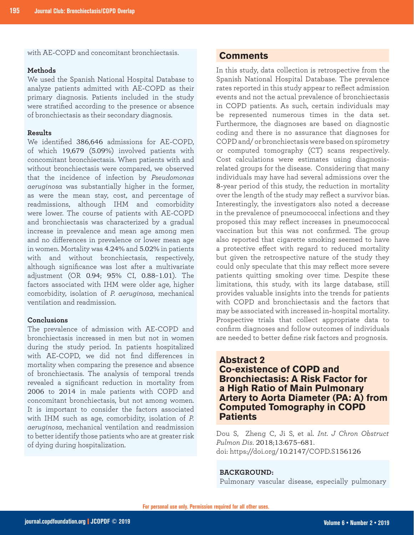with AE-COPD and concomitant bronchiectasis.

#### **Methods**

We used the Spanish National Hospital Database to analyze patients admitted with AE-COPD as their primary diagnosis. Patients included in the study were stratified according to the presence or absence of bronchiectasis as their secondary diagnosis.

#### **Results**

We identified 386,646 admissions for AE-COPD, of which 19,679 (5.09%) involved patients with concomitant bronchiectasis. When patients with and without bronchiectasis were compared, we observed that the incidence of infection by *Pseudomonas aeruginosa* was substantially higher in the former, as were the mean stay, cost, and percentage of readmissions, although IHM and comorbidity were lower. The course of patients with AE-COPD and bronchiectasis was characterized by a gradual increase in prevalence and mean age among men and no differences in prevalence or lower mean age in women. Mortality was 4.24% and 5.02% in patients with and without bronchiectasis, respectively, although significance was lost after a multivariate adjustment (OR 0.94; 95% CI, 0.88–1.01). The factors associated with IHM were older age, higher comorbidity, isolation of *P. aeruginosa*, mechanical ventilation and readmission.

#### **Conclusions**

The prevalence of admission with AE-COPD and bronchiectasis increased in men but not in women during the study period. In patients hospitalized with AE-COPD, we did not find differences in mortality when comparing the presence and absence of bronchiectasis. The analysis of temporal trends revealed a significant reduction in mortality from 2006 to 2014 in male patients with COPD and concomitant bronchiectasis, but not among women. It is important to consider the factors associated with IHM such as age, comorbidity, isolation of *P. aeruginosa*, mechanical ventilation and readmission to better identify those patients who are at greater risk of dying during hospitalization.

## **Comments**

In this study, data collection is retrospective from the Spanish National Hospital Database. The prevalence rates reported in this study appear to reflect admission events and not the actual prevalence of bronchiectasis in COPD patients. As such, certain individuals may be represented numerous times in the data set. Furthermore, the diagnoses are based on diagnostic coding and there is no assurance that diagnoses for COPD and/ or bronchiectasis were based on spirometry or computed tomography (CT) scans respectively. Cost calculations were estimates using diagnosisrelated groups for the disease. Considering that many individuals may have had several admissions over the 8-year period of this study, the reduction in mortality over the length of the study may reflect a survivor bias. Interestingly, the investigators also noted a decrease in the prevalence of pneumococcal infections and they proposed this may reflect increases in pneumococcal vaccination but this was not confirmed. The group also reported that cigarette smoking seemed to have a protective effect with regard to reduced mortality but given the retrospective nature of the study they could only speculate that this may reflect more severe patients quitting smoking over time. Despite these limitations, this study, with its large database, still provides valuable insights into the trends for patients with COPD and bronchiectasis and the factors that may be associated with increased in-hospital mortality. Prospective trials that collect appropriate data to confirm diagnoses and follow outcomes of individuals are needed to better define risk factors and prognosis.

## **Abstract 2 Co-existence of COPD and Bronchiectasis: A Risk Factor for a High Ratio of Main Pulmonary Artery to Aorta Diameter (PA: A) from Computed Tomography in COPD Patients**

Dou S, Zheng C, Ji S, et al. *Int. J Chron Obstruct Pulmon Dis*. 2018;13:675–681. doi: https://doi.org/10.2147/COPD.S156126

#### **BACKGROUND:**

Pulmonary vascular disease, especially pulmonary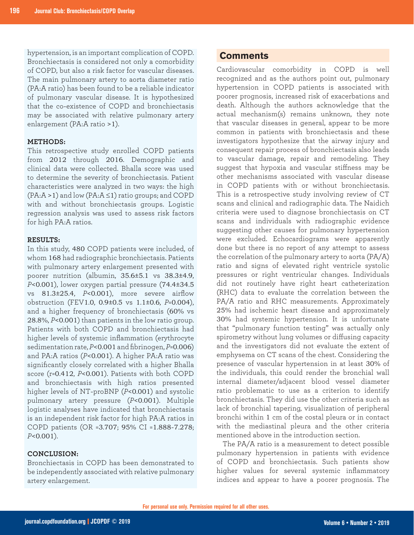hypertension, is an important complication of COPD. Bronchiectasis is considered not only a comorbidity of COPD, but also a risk factor for vascular diseases. The main pulmonary artery to aorta diameter ratio (PA:A ratio) has been found to be a reliable indicator of pulmonary vascular disease. It is hypothesized that the co-existence of COPD and bronchiectasis may be associated with relative pulmonary artery enlargement (PA:A ratio >1).

#### **METHODS:**

This retrospective study enrolled COPD patients from 2012 through 2016. Demographic and clinical data were collected. Bhalla score was used to determine the severity of bronchiectasis. Patient characteristics were analyzed in two ways: the high  $(PA:A > 1)$  and low  $(PA:A \leq 1)$  ratio groups; and COPD with and without bronchiectasis groups. Logistic regression analysis was used to assess risk factors for high PA:A ratios.

#### **RESULTS:**

In this study, 480 COPD patients were included, of whom 168 had radiographic bronchiectasis. Patients with pulmonary artery enlargement presented with poorer nutrition (albumin, 35.6±5.1 vs 38.3±4.9, *P*<0.001), lower oxygen partial pressure (74.4±34.5 vs 81.3±25.4, *P*<0.001), more severe airflow obstruction (FEV1.0, 0.9±0.5 vs 1.1±0.6, *P*=0.004), and a higher frequency of bronchiectasis (60% vs 28.8%, *P*<0.001) than patients in the low ratio group. Patients with both COPD and bronchiectasis had higher levels of systemic inflammation (erythrocyte sedimentation rate, *P*<0.001 and fibrinogen, *P*=0.006) and PA:A ratios (*P*<0.001). A higher PA:A ratio was significantly closely correlated with a higher Bhalla score (r=0.412, *P*<0.001). Patients with both COPD and bronchiectasis with high ratios presented higher levels of NT-proBNP (*P*<0.001) and systolic pulmonary artery pressure (*P*<0.001). Multiple logistic analyses have indicated that bronchiectasis is an independent risk factor for high PA:A ratios in COPD patients (OR =3.707; 95% CI =1.888-7.278; *P*<0.001).

### **CONCLUSION:**

Bronchiectasis in COPD has been demonstrated to be independently associated with relative pulmonary artery enlargement.

## **Comments**

Cardiovascular comorbidity in COPD is well recognized and as the authors point out, pulmonary hypertension in COPD patients is associated with poorer prognosis, increased risk of exacerbations and death. Although the authors acknowledge that the actual mechanism(s) remains unknown, they note that vascular diseases in general, appear to be more common in patients with bronchiectasis and these investigators hypothesize that the airway injury and consequent repair process of bronchiectasis also leads to vascular damage, repair and remodeling. They suggest that hypoxia and vascular stiffness may be other mechanisms associated with vascular disease in COPD patients with or without bronchiectasis. This is a retrospective study involving review of CT scans and clinical and radiographic data. The Naidich criteria were used to diagnose bronchiectasis on CT scans and individuals with radiographic evidence suggesting other causes for pulmonary hypertension were excluded. Echocardiograms were apparently done but there is no report of any attempt to assess the correlation of the pulmonary artery to aorta (PA/A) ratio and signs of elevated right ventricle systolic pressures or right ventricular changes. Individuals did not routinely have right heart catheterization (RHC) data to evaluate the correlation between the PA/A ratio and RHC measurements. Approximately 25% had ischemic heart disease and approximately 30% had systemic hypertension. It is unfortunate that "pulmonary function testing" was actually only spirometry without lung volumes or diffusing capacity and the investigators did not evaluate the extent of emphysema on CT scans of the chest. Considering the presence of vascular hypertension in at least 30% of the individuals, this could render the bronchial wall internal diameter/adjacent blood vessel diameter ratio problematic to use as a criterion to identify bronchiectasis. They did use the other criteria such as lack of bronchial tapering, visualization of peripheral bronchi within 1 cm of the costal pleura or in contact with the mediastinal pleura and the other criteria mentioned above in the introduction section.

The PA/A ratio is a measurement to detect possible pulmonary hypertension in patients with evidence of COPD and bronchiectasis. Such patients show higher values for several systemic inflammatory indices and appear to have a poorer prognosis. The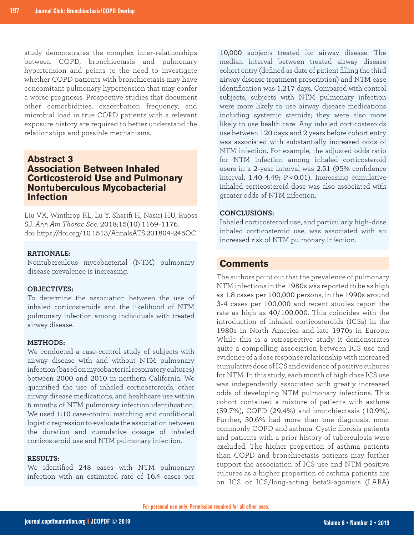study demonstrates the complex inter-relationships between COPD, bronchiectasis and pulmonary hypertension and points to the need to investigate whether COPD patients with bronchiectasis may have concomitant pulmonary hypertension that may confer a worse prognosis. Prospective studies that document other comorbidities, exacerbation frequency, and microbial load in true COPD patients with a relevant exposure history are required to better understand the relationships and possible mechanisms.

## **Abstract 3 Association Between Inhaled Corticosteroid Use and Pulmonary Nontuberculous Mycobacterial Infection**

Liu VX, Winthrop KL, Lu Y, Sharifi H, Nasiri HU, Ruoss SJ. *Ann Am Thorac Soc*. 2018;15(10):1169-1176. doi: https://doi.org/10.1513/AnnalsATS.201804-245OC

#### **RATIONALE:**

Nontuberculous mycobacterial (NTM) pulmonary disease prevalence is increasing.

#### **OBJECTIVES:**

To determine the association between the use of inhaled corticosteroids and the likelihood of NTM pulmonary infection among individuals with treated airway disease.

#### **METHODS:**

We conducted a case-control study of subjects with airway disease with and without NTM pulmonary infection (based on mycobacterial respiratory cultures) between 2000 and 2010 in northern California. We quantified the use of inhaled corticosteroids, other airway disease medications, and healthcare use within 6 months of NTM pulmonary infection identification. We used 1:10 case-control matching and conditional logistic regression to evaluate the association between the duration and cumulative dosage of inhaled corticosteroid use and NTM pulmonary infection.

#### **RESULTS:**

We identified 248 cases with NTM pulmonary infection with an estimated rate of 16.4 cases per

10,000 subjects treated for airway disease. The median interval between treated airway disease cohort entry (defined as date of patient filling the third airway disease treatment prescription) and NTM case identification was 1,217 days. Compared with control subjects, subjects with NTM pulmonary infection were more likely to use airway disease medications including systemic steroids; they were also more likely to use health care. Any inhaled corticosteroids use between 120 days and 2 years before cohort entry was associated with substantially increased odds of NTM infection. For example, the adjusted odds ratio for NTM infection among inhaled corticosteroid users in a 2-year interval was 2.51 (95% confidence interval, 1.40-4.49; P <0.01). Increasing cumulative inhaled corticosteroid dose was also associated with greater odds of NTM infection.

#### **CONCLUSIONS:**

Inhaled corticosteroid use, and particularly high-dose inhaled corticosteroid use, was associated with an increased risk of NTM pulmonary infection.

## **Comments**

The authors point out that the prevalence of pulmonary NTM infections in the 1980s was reported to be as high as 1.8 cases per 100,000 persons, in the 1990s around 3-4 cases per 100,000 and recent studies report the rate as high as 40/100,000. This coincides with the introduction of inhaled corticosteroids (ICSs) in the 1980s in North America and late 1970s in Europe. While this is a retrospective study it demonstrates quite a compelling association between ICS use and evidence of a dose response relationship with increased cumulative dose of ICS and evidence of positive cultures for NTM. In this study, each month of high dose ICS use was independently associated with greatly increased odds of developing NTM pulmonary infections. This cohort contained a mixture of patients with asthma (59.7%), COPD (29.4%) and bronchiectasis (10.9%). Further, 30.6% had more than one diagnosis, most commonly COPD and asthma. Cystic fibrosis patients and patients with a prior history of tuberculosis were excluded. The higher proportion of asthma patients than COPD and bronchiectasis patients may further support the association of ICS use and NTM positive cultures as a higher proportion of asthma patients are on ICS or ICS/long-acting beta2-agonists (LABA)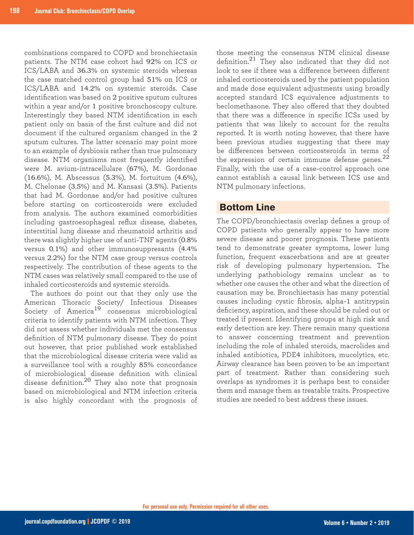combinations compared to COPD and bronchiectasis patients. The NTM case cohort had 92% on ICS or ICS/LABA and 36.3% on systemic steroids whereas the case matched control group had 51% on ICS or ICS/LABA and 14.2% on systemic steroids. Case identification was based on 2 positive sputum cultures within a year and/or 1 positive bronchoscopy culture. Interestingly they based NTM identification in each patient only on basis of the first culture and did not document if the cultured organism changed in the 2 sputum cultures. The latter scenario may point more to an example of dysbiosis rather than true pulmonary disease. NTM organisms most frequently identified were M. avium-intracellulare (67%), M. Gordonae (16.6%), M. Abscessus (5.3%), M. fortuitum (4.6%), M. Chelonae (3.5%) and M. Kansasi (3.5%). Patients that had M. Gordonae and/or had positive cultures before starting on corticosteroids were excluded from analysis. The authors examined comorbidities including gastroesophageal reflux disease, diabetes, interstitial lung disease and rheumatoid arthritis and there was slightly higher use of anti-TNF agents (0.8% versus 0.1%) and other immunosuppresants (4.4% versus 2.2%) for the NTM case group versus controls respectively. The contribution of these agents to the NTM cases was relatively small compared to the use of inhaled corticosteroids and systemic steroids.

The authors do point out that they only use the American Thoracic Society/ Infectious Diseases Society of America<sup>19</sup> consensus microbiological criteria to identify patients with NTM infection. They did not assess whether individuals met the consensus definition of NTM pulmonary disease. They do point out however, that prior published work established that the microbiological disease criteria were valid as a surveillance tool with a roughly 85% concordance of microbiological disease definition with clinical disease definition.20 They also note that prognosis based on microbiological and NTM infection criteria is also highly concordant with the prognosis of

those meeting the consensus NTM clinical disease definition. $2^1$  They also indicated that they did not look to see if there was a difference between different inhaled corticosteroids used by the patient population and made dose equivalent adjustments using broadly accepted standard ICS equivalence adjustments to beclomethasone. They also offered that they doubted that there was a difference in specific ICSs used by patients that was likely to account for the results reported. It is worth noting however, that there have been previous studies suggesting that there may be differences between corticosteroids in terms of the expression of certain immune defense genes. $^{22}$ Finally, with the use of a case-control approach one cannot establish a causal link between ICS use and NTM pulmonary infections.

## **Bottom Line**

The COPD/bronchiectasis overlap defines a group of COPD patients who generally appear to have more severe disease and poorer prognosis. These patients tend to demonstrate greater symptoms, lower lung function, frequent exacerbations and are at greater risk of developing pulmonary hypertension. The underlying pathobiology remains unclear as to whether one causes the other and what the direction of causation may be. Bronchiectasis has many potential causes including cystic fibrosis, alpha-1 antitrypsin deficiency, aspiration, and these should be ruled out or treated if present. Identifying groups at high risk and early detection are key. There remain many questions to answer concerning treatment and prevention including the role of inhaled steroids, macrolides and inhaled antibiotics, PDE4 inhibitors, mucolytics, etc. Airway clearance has been proven to be an important part of treatment. Rather than considering such overlaps as syndromes it is perhaps best to consider them and manage them as treatable traits. Prospective studies are needed to best address these issues.